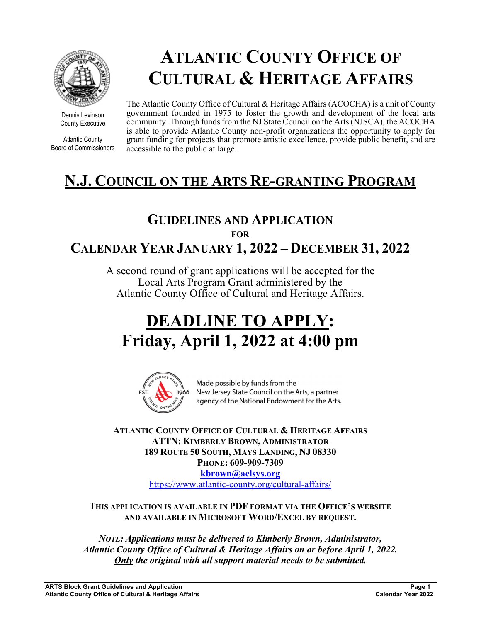

Dennis Levinson County Executive

Atlantic County Board of Commissioners

# **ATLANTIC COUNTY OFFICE OF CULTURAL & HERITAGE AFFAIRS**

The Atlantic County Office of Cultural & Heritage Affairs (ACOCHA) is a unit of County government founded in 1975 to foster the growth and development of the local arts community. Through funds from the NJ State Council on the Arts (NJSCA), the ACOCHA is able to provide Atlantic County non-profit organizations the opportunity to apply for grant funding for projects that promote artistic excellence, provide public benefit, and are accessible to the public at large.

## **N.J. COUNCIL ON THE ARTS RE-GRANTING PROGRAM**

## **GUIDELINES AND APPLICATION FOR CALENDAR YEAR JANUARY 1, 2022 – DECEMBER 31, 2022**

A second round of grant applications will be accepted for the Local Arts Program Grant administered by the Atlantic County Office of Cultural and Heritage Affairs.

# **DEADLINE TO APPLY: Friday, April 1, 2022 at 4:00 pm**



Made possible by funds from the New Jersey State Council on the Arts, a partner agency of the National Endowment for the Arts.

**ATLANTIC COUNTY OFFICE OF CULTURAL & HERITAGE AFFAIRS ATTN: KIMBERLY BROWN, ADMINISTRATOR 189 ROUTE 50 SOUTH, MAYS LANDING, NJ 08330 PHONE: 609-909-7309 kbrown@aclsys.org**

https://www.atlantic-county.org/cultural-affairs/

**THIS APPLICATION IS AVAILABLE IN PDF FORMAT VIA THE OFFICE'S WEBSITE AND AVAILABLE IN MICROSOFT WORD/EXCEL BY REQUEST.** 

*NOTE: Applications must be delivered to Kimberly Brown, Administrator, Atlantic County Office of Cultural & Heritage Affairs on or before April 1, 2022. Only the original with all support material needs to be submitted.*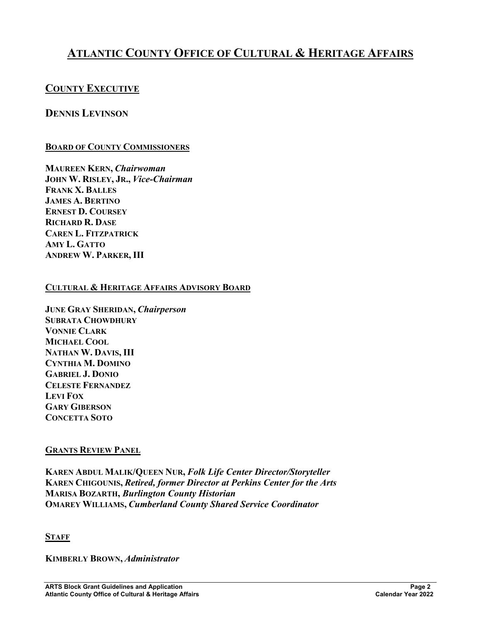## **ATLANTIC COUNTY OFFICE OF CULTURAL & HERITAGE AFFAIRS**

#### **COUNTY EXECUTIVE**

#### **DENNIS LEVINSON**

#### **BOARD OF COUNTY COMMISSIONERS**

**MAUREEN KERN,** *Chairwoman* **JOHN W. RISLEY, JR.,** *Vice-Chairman* **FRANK X. BALLES JAMES A. BERTINO ERNEST D. COURSEY RICHARD R. DASE CAREN L. FITZPATRICK AMY L. GATTO ANDREW W. PARKER, III** 

#### **CULTURAL & HERITAGE AFFAIRS ADVISORY BOARD**

**JUNE GRAY SHERIDAN,** *Chairperson* **SUBRATA CHOWDHURY VONNIE CLARK MICHAEL COOL NATHAN W. DAVIS, III CYNTHIA M. DOMINO GABRIEL J. DONIO CELESTE FERNANDEZ LEVI FOX GARY GIBERSON CONCETTA SOTO**

#### **GRANTS REVIEW PANEL**

**KAREN ABDUL MALIK/QUEEN NUR,** *Folk Life Center Director/Storyteller*  **KAREN CHIGOUNIS,** *Retired, former Director at Perkins Center for the Arts*  **MARISA BOZARTH,** *Burlington County Historian*  **OMAREY WILLIAMS,** *Cumberland County Shared Service Coordinator* 

#### **STAFF**

**KIMBERLY BROWN,** *Administrator*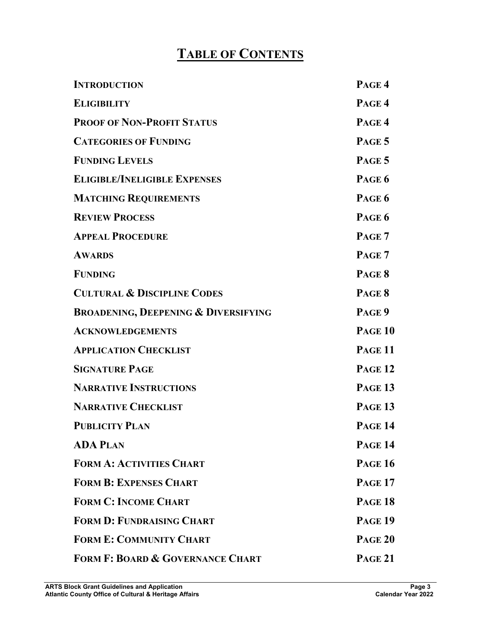## **TABLE OF CONTENTS**

| <b>INTRODUCTION</b>                             | PAGE 4         |
|-------------------------------------------------|----------------|
| <b>ELIGIBILITY</b>                              | PAGE 4         |
| <b>PROOF OF NON-PROFIT STATUS</b>               | PAGE 4         |
| <b>CATEGORIES OF FUNDING</b>                    | PAGE 5         |
| <b>FUNDING LEVELS</b>                           | PAGE 5         |
| <b>ELIGIBLE/INELIGIBLE EXPENSES</b>             | PAGE 6         |
| <b>MATCHING REQUIREMENTS</b>                    | PAGE 6         |
| <b>REVIEW PROCESS</b>                           | PAGE 6         |
| <b>APPEAL PROCEDURE</b>                         | PAGE 7         |
| <b>AWARDS</b>                                   | PAGE 7         |
| <b>FUNDING</b>                                  | PAGE 8         |
| <b>CULTURAL &amp; DISCIPLINE CODES</b>          | PAGE 8         |
| <b>BROADENING, DEEPENING &amp; DIVERSIFYING</b> | PAGE 9         |
| <b>ACKNOWLEDGEMENTS</b>                         | <b>PAGE 10</b> |
| <b>APPLICATION CHECKLIST</b>                    | <b>PAGE 11</b> |
| <b>SIGNATURE PAGE</b>                           | <b>PAGE 12</b> |
| <b>NARRATIVE INSTRUCTIONS</b>                   | <b>PAGE 13</b> |
| <b>NARRATIVE CHECKLIST</b>                      | <b>PAGE 13</b> |
| <b>PUBLICITY PLAN</b>                           | <b>PAGE 14</b> |
| <b>ADA PLAN</b>                                 | <b>PAGE 14</b> |
| <b>FORM A: ACTIVITIES CHART</b>                 | <b>PAGE 16</b> |
| <b>FORM B: EXPENSES CHART</b>                   | <b>PAGE 17</b> |
| <b>FORM C: INCOME CHART</b>                     | <b>PAGE 18</b> |
| <b>FORM D: FUNDRAISING CHART</b>                | <b>PAGE 19</b> |
| <b>FORM E: COMMUNITY CHART</b>                  | <b>PAGE 20</b> |
| <b>FORM F: BOARD &amp; GOVERNANCE CHART</b>     | <b>PAGE 21</b> |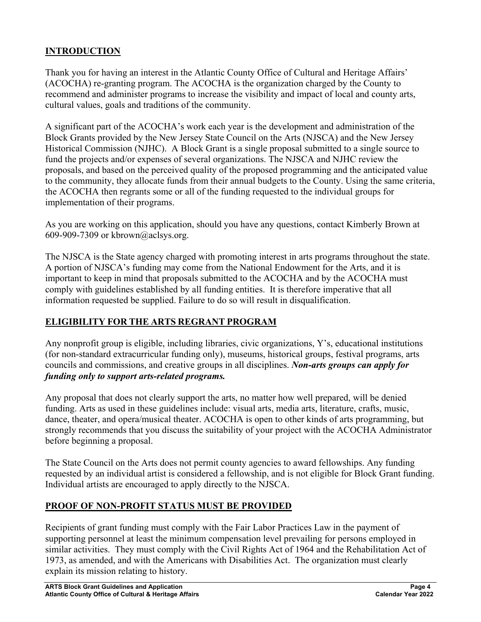#### **INTRODUCTION**

Thank you for having an interest in the Atlantic County Office of Cultural and Heritage Affairs' (ACOCHA) re-granting program. The ACOCHA is the organization charged by the County to recommend and administer programs to increase the visibility and impact of local and county arts, cultural values, goals and traditions of the community.

A significant part of the ACOCHA's work each year is the development and administration of the Block Grants provided by the New Jersey State Council on the Arts (NJSCA) and the New Jersey Historical Commission (NJHC). A Block Grant is a single proposal submitted to a single source to fund the projects and/or expenses of several organizations. The NJSCA and NJHC review the proposals, and based on the perceived quality of the proposed programming and the anticipated value to the community, they allocate funds from their annual budgets to the County. Using the same criteria, the ACOCHA then regrants some or all of the funding requested to the individual groups for implementation of their programs.

As you are working on this application, should you have any questions, contact Kimberly Brown at 609-909-7309 or kbrown@aclsys.org.

The NJSCA is the State agency charged with promoting interest in arts programs throughout the state. A portion of NJSCA's funding may come from the National Endowment for the Arts, and it is important to keep in mind that proposals submitted to the ACOCHA and by the ACOCHA must comply with guidelines established by all funding entities. It is therefore imperative that all information requested be supplied. Failure to do so will result in disqualification.

#### **ELIGIBILITY FOR THE ARTS REGRANT PROGRAM**

Any nonprofit group is eligible, including libraries, civic organizations, Y's, educational institutions (for non-standard extracurricular funding only), museums, historical groups, festival programs, arts councils and commissions, and creative groups in all disciplines. *Non-arts groups can apply for funding only to support arts-related programs.*

Any proposal that does not clearly support the arts, no matter how well prepared, will be denied funding. Arts as used in these guidelines include: visual arts, media arts, literature, crafts, music, dance, theater, and opera/musical theater. ACOCHA is open to other kinds of arts programming, but strongly recommends that you discuss the suitability of your project with the ACOCHA Administrator before beginning a proposal.

The State Council on the Arts does not permit county agencies to award fellowships. Any funding requested by an individual artist is considered a fellowship, and is not eligible for Block Grant funding. Individual artists are encouraged to apply directly to the NJSCA.

#### **PROOF OF NON-PROFIT STATUS MUST BE PROVIDED**

Recipients of grant funding must comply with the Fair Labor Practices Law in the payment of supporting personnel at least the minimum compensation level prevailing for persons employed in similar activities. They must comply with the Civil Rights Act of 1964 and the Rehabilitation Act of 1973, as amended, and with the Americans with Disabilities Act. The organization must clearly explain its mission relating to history.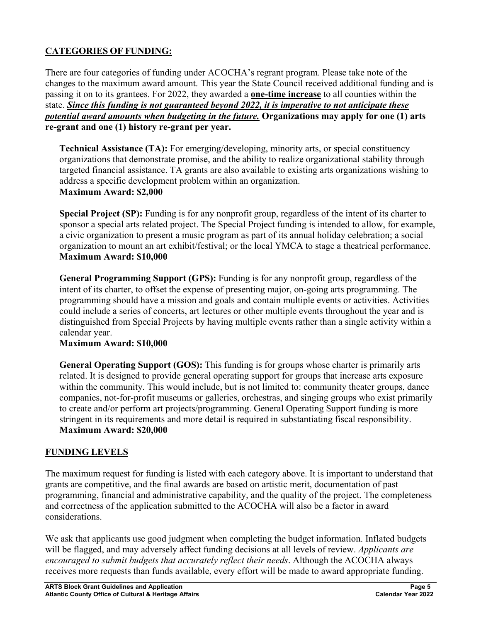#### **CATEGORIES OF FUNDING:**

There are four categories of funding under ACOCHA's regrant program. Please take note of the changes to the maximum award amount. This year the State Council received additional funding and is passing it on to its grantees. For 2022, they awarded a **one-time increase** to all counties within the state. *Since this funding is not guaranteed beyond 2022, it is imperative to not anticipate these potential award amounts when budgeting in the future.* **Organizations may apply for one (1) arts re-grant and one (1) history re-grant per year.**

**Technical Assistance (TA):** For emerging/developing, minority arts, or special constituency organizations that demonstrate promise, and the ability to realize organizational stability through targeted financial assistance. TA grants are also available to existing arts organizations wishing to address a specific development problem within an organization. **Maximum Award: \$2,000**

**Special Project (SP):** Funding is for any nonprofit group, regardless of the intent of its charter to sponsor a special arts related project. The Special Project funding is intended to allow, for example, a civic organization to present a music program as part of its annual holiday celebration; a social organization to mount an art exhibit/festival; or the local YMCA to stage a theatrical performance. **Maximum Award: \$10,000** 

**General Programming Support (GPS):** Funding is for any nonprofit group, regardless of the intent of its charter, to offset the expense of presenting major, on-going arts programming. The programming should have a mission and goals and contain multiple events or activities. Activities could include a series of concerts, art lectures or other multiple events throughout the year and is distinguished from Special Projects by having multiple events rather than a single activity within a calendar year.

#### **Maximum Award: \$10,000**

**General Operating Support (GOS):** This funding is for groups whose charter is primarily arts related. It is designed to provide general operating support for groups that increase arts exposure within the community. This would include, but is not limited to: community theater groups, dance companies, not-for-profit museums or galleries, orchestras, and singing groups who exist primarily to create and/or perform art projects/programming. General Operating Support funding is more stringent in its requirements and more detail is required in substantiating fiscal responsibility. **Maximum Award: \$20,000** 

#### **FUNDING LEVELS**

The maximum request for funding is listed with each category above. It is important to understand that grants are competitive, and the final awards are based on artistic merit, documentation of past programming, financial and administrative capability, and the quality of the project. The completeness and correctness of the application submitted to the ACOCHA will also be a factor in award considerations.

We ask that applicants use good judgment when completing the budget information. Inflated budgets will be flagged, and may adversely affect funding decisions at all levels of review. *Applicants are encouraged to submit budgets that accurately reflect their needs*. Although the ACOCHA always receives more requests than funds available, every effort will be made to award appropriate funding.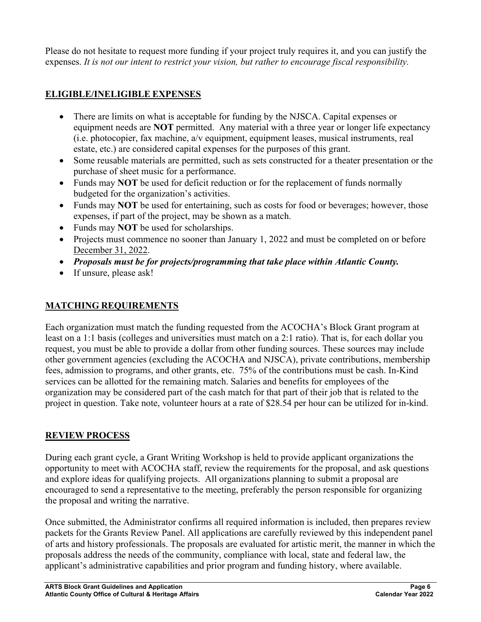Please do not hesitate to request more funding if your project truly requires it, and you can justify the expenses. *It is not our intent to restrict your vision, but rather to encourage fiscal responsibility.* 

### **ELIGIBLE/INELIGIBLE EXPENSES**

- There are limits on what is acceptable for funding by the NJSCA. Capital expenses or equipment needs are **NOT** permitted. Any material with a three year or longer life expectancy (i.e. photocopier, fax machine, a/v equipment, equipment leases, musical instruments, real estate, etc.) are considered capital expenses for the purposes of this grant.
- Some reusable materials are permitted, such as sets constructed for a theater presentation or the purchase of sheet music for a performance.
- Funds may **NOT** be used for deficit reduction or for the replacement of funds normally budgeted for the organization's activities.
- Funds may **NOT** be used for entertaining, such as costs for food or beverages; however, those expenses, if part of the project, may be shown as a match.
- Funds may **NOT** be used for scholarships.
- Projects must commence no sooner than January 1, 2022 and must be completed on or before December 31, 2022.
- *Proposals must be for projects/programming that take place within Atlantic County.*
- If unsure, please ask!

## **MATCHING REQUIREMENTS**

Each organization must match the funding requested from the ACOCHA's Block Grant program at least on a 1:1 basis (colleges and universities must match on a 2:1 ratio). That is, for each dollar you request, you must be able to provide a dollar from other funding sources. These sources may include other government agencies (excluding the ACOCHA and NJSCA), private contributions, membership fees, admission to programs, and other grants, etc. 75% of the contributions must be cash. In-Kind services can be allotted for the remaining match. Salaries and benefits for employees of the organization may be considered part of the cash match for that part of their job that is related to the project in question. Take note, volunteer hours at a rate of \$28.54 per hour can be utilized for in-kind.

#### **REVIEW PROCESS**

During each grant cycle, a Grant Writing Workshop is held to provide applicant organizations the opportunity to meet with ACOCHA staff, review the requirements for the proposal, and ask questions and explore ideas for qualifying projects. All organizations planning to submit a proposal are encouraged to send a representative to the meeting, preferably the person responsible for organizing the proposal and writing the narrative.

Once submitted, the Administrator confirms all required information is included, then prepares review packets for the Grants Review Panel. All applications are carefully reviewed by this independent panel of arts and history professionals. The proposals are evaluated for artistic merit, the manner in which the proposals address the needs of the community, compliance with local, state and federal law, the applicant's administrative capabilities and prior program and funding history, where available.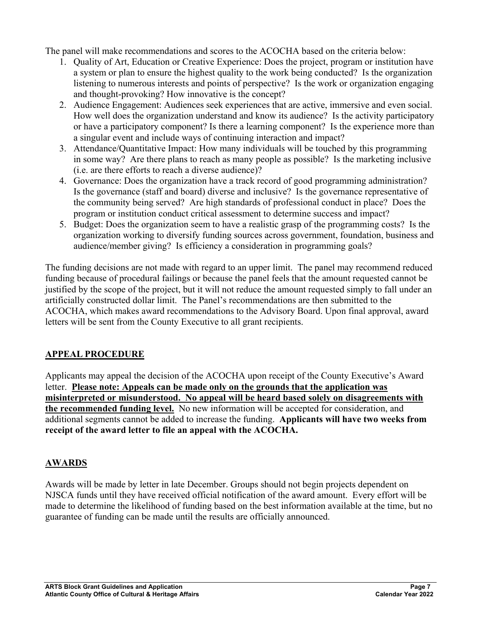The panel will make recommendations and scores to the ACOCHA based on the criteria below:

- 1. Quality of Art, Education or Creative Experience: Does the project, program or institution have a system or plan to ensure the highest quality to the work being conducted? Is the organization listening to numerous interests and points of perspective? Is the work or organization engaging and thought-provoking? How innovative is the concept?
- 2. Audience Engagement: Audiences seek experiences that are active, immersive and even social. How well does the organization understand and know its audience? Is the activity participatory or have a participatory component? Is there a learning component? Is the experience more than a singular event and include ways of continuing interaction and impact?
- 3. Attendance/Quantitative Impact: How many individuals will be touched by this programming in some way? Are there plans to reach as many people as possible? Is the marketing inclusive (i.e. are there efforts to reach a diverse audience)?
- 4. Governance: Does the organization have a track record of good programming administration? Is the governance (staff and board) diverse and inclusive? Is the governance representative of the community being served? Are high standards of professional conduct in place? Does the program or institution conduct critical assessment to determine success and impact?
- 5. Budget: Does the organization seem to have a realistic grasp of the programming costs? Is the organization working to diversify funding sources across government, foundation, business and audience/member giving? Is efficiency a consideration in programming goals?

The funding decisions are not made with regard to an upper limit. The panel may recommend reduced funding because of procedural failings or because the panel feels that the amount requested cannot be justified by the scope of the project, but it will not reduce the amount requested simply to fall under an artificially constructed dollar limit. The Panel's recommendations are then submitted to the ACOCHA, which makes award recommendations to the Advisory Board. Upon final approval, award letters will be sent from the County Executive to all grant recipients.

## **APPEAL PROCEDURE**

Applicants may appeal the decision of the ACOCHA upon receipt of the County Executive's Award letter. **Please note: Appeals can be made only on the grounds that the application was misinterpreted or misunderstood. No appeal will be heard based solely on disagreements with the recommended funding level.** No new information will be accepted for consideration, and additional segments cannot be added to increase the funding. **Applicants will have two weeks from receipt of the award letter to file an appeal with the ACOCHA.** 

## **AWARDS**

Awards will be made by letter in late December. Groups should not begin projects dependent on NJSCA funds until they have received official notification of the award amount. Every effort will be made to determine the likelihood of funding based on the best information available at the time, but no guarantee of funding can be made until the results are officially announced.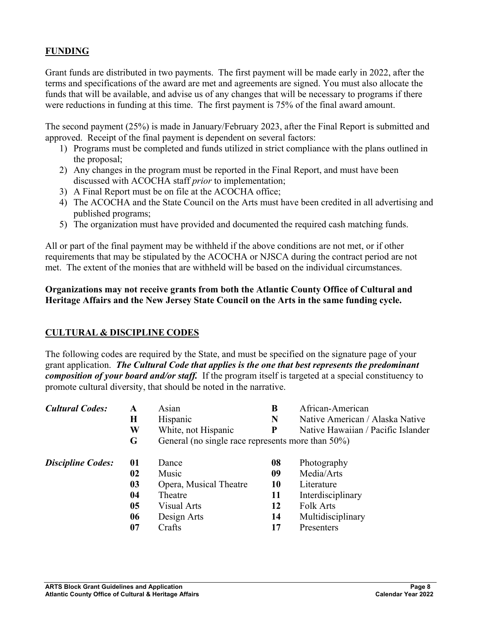#### **FUNDING**

Grant funds are distributed in two payments. The first payment will be made early in 2022, after the terms and specifications of the award are met and agreements are signed. You must also allocate the funds that will be available, and advise us of any changes that will be necessary to programs if there were reductions in funding at this time. The first payment is 75% of the final award amount.

The second payment (25%) is made in January/February 2023, after the Final Report is submitted and approved. Receipt of the final payment is dependent on several factors:

- 1) Programs must be completed and funds utilized in strict compliance with the plans outlined in the proposal;
- 2) Any changes in the program must be reported in the Final Report, and must have been discussed with ACOCHA staff *prior* to implementation;
- 3) A Final Report must be on file at the ACOCHA office;
- 4) The ACOCHA and the State Council on the Arts must have been credited in all advertising and published programs;
- 5) The organization must have provided and documented the required cash matching funds.

All or part of the final payment may be withheld if the above conditions are not met, or if other requirements that may be stipulated by the ACOCHA or NJSCA during the contract period are not met. The extent of the monies that are withheld will be based on the individual circumstances.

#### **Organizations may not receive grants from both the Atlantic County Office of Cultural and Heritage Affairs and the New Jersey State Council on the Arts in the same funding cycle.**

#### **CULTURAL & DISCIPLINE CODES**

The following codes are required by the State, and must be specified on the signature page of your grant application. *The Cultural Code that applies is the one that best represents the predominant composition of your board and/or staff.* If the program itself is targeted at a special constituency to promote cultural diversity, that should be noted in the narrative.

| <b>Cultural Codes:</b>   | A       | Asian                                             | B  | African-American                   |
|--------------------------|---------|---------------------------------------------------|----|------------------------------------|
|                          | $\bf H$ | Hispanic                                          | N  | Native American / Alaska Native    |
|                          | W       | White, not Hispanic                               | P  | Native Hawaiian / Pacific Islander |
|                          | G       | General (no single race represents more than 50%) |    |                                    |
| <b>Discipline Codes:</b> | 01      | Dance                                             | 08 | Photography                        |
|                          | 02      | Music                                             | 09 | Media/Arts                         |
|                          | 03      | Opera, Musical Theatre                            | 10 | Literature                         |
|                          | 04      | Theatre                                           | 11 | Interdisciplinary                  |
|                          | 05      | Visual Arts                                       | 12 | Folk Arts                          |
|                          | 06      | Design Arts                                       | 14 | Multidisciplinary                  |
|                          | 07      | Crafts                                            | 17 | Presenters                         |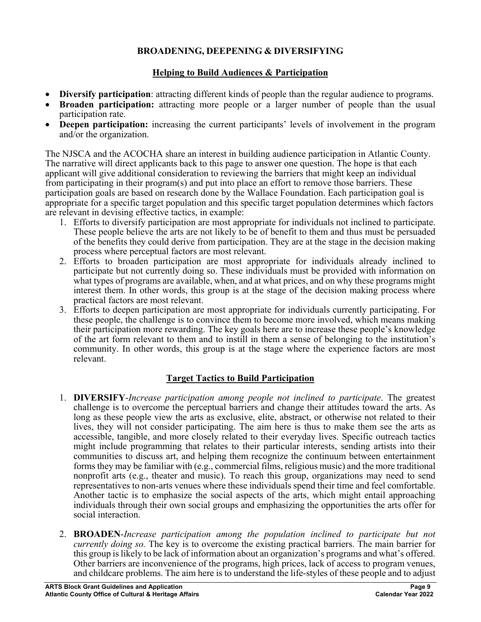#### **BROADENING, DEEPENING & DIVERSIFYING**

#### **Helping to Build Audiences & Participation**

- **Diversify participation**: attracting different kinds of people than the regular audience to programs.
- **Broaden participation:** attracting more people or a larger number of people than the usual participation rate.
- **Deepen participation:** increasing the current participants' levels of involvement in the program and/or the organization.

The NJSCA and the ACOCHA share an interest in building audience participation in Atlantic County. The narrative will direct applicants back to this page to answer one question. The hope is that each applicant will give additional consideration to reviewing the barriers that might keep an individual from participating in their program(s) and put into place an effort to remove those barriers. These participation goals are based on research done by the Wallace Foundation. Each participation goal is appropriate for a specific target population and this specific target population determines which factors are relevant in devising effective tactics, in example:

- 1. Efforts to diversify participation are most appropriate for individuals not inclined to participate. These people believe the arts are not likely to be of benefit to them and thus must be persuaded of the benefits they could derive from participation. They are at the stage in the decision making process where perceptual factors are most relevant.
- 2. Efforts to broaden participation are most appropriate for individuals already inclined to participate but not currently doing so. These individuals must be provided with information on what types of programs are available, when, and at what prices, and on why these programs might interest them. In other words, this group is at the stage of the decision making process where practical factors are most relevant.
- 3. Efforts to deepen participation are most appropriate for individuals currently participating. For these people, the challenge is to convince them to become more involved, which means making their participation more rewarding. The key goals here are to increase these people's knowledge of the art form relevant to them and to instill in them a sense of belonging to the institution's community. In other words, this group is at the stage where the experience factors are most relevant.

#### **Target Tactics to Build Participation**

- 1. **DIVERSIFY**-*Increase participation among people not inclined to participate*. The greatest challenge is to overcome the perceptual barriers and change their attitudes toward the arts. As long as these people view the arts as exclusive, elite, abstract, or otherwise not related to their lives, they will not consider participating. The aim here is thus to make them see the arts as accessible, tangible, and more closely related to their everyday lives. Specific outreach tactics might include programming that relates to their particular interests, sending artists into their communities to discuss art, and helping them recognize the continuum between entertainment forms they may be familiar with (e.g., commercial films, religious music) and the more traditional nonprofit arts (e.g., theater and music). To reach this group, organizations may need to send representatives to non-arts venues where these individuals spend their time and feel comfortable. Another tactic is to emphasize the social aspects of the arts, which might entail approaching individuals through their own social groups and emphasizing the opportunities the arts offer for social interaction.
- 2. **BROADEN**-*Increase participation among the population inclined to participate but not currently doing so.* The key is to overcome the existing practical barriers. The main barrier for this group is likely to be lack of information about an organization's programs and what's offered. Other barriers are inconvenience of the programs, high prices, lack of access to program venues, and childcare problems. The aim here is to understand the life-styles of these people and to adjust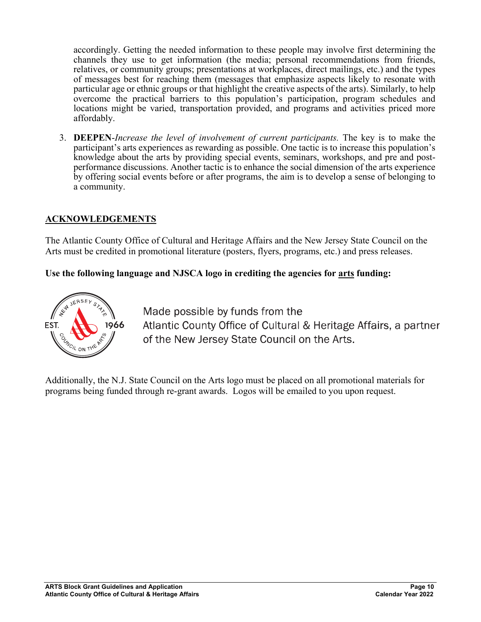accordingly. Getting the needed information to these people may involve first determining the channels they use to get information (the media; personal recommendations from friends, relatives, or community groups; presentations at workplaces, direct mailings, etc.) and the types of messages best for reaching them (messages that emphasize aspects likely to resonate with particular age or ethnic groups or that highlight the creative aspects of the arts). Similarly, to help overcome the practical barriers to this population's participation, program schedules and locations might be varied, transportation provided, and programs and activities priced more affordably.

3. **DEEPEN**-*Increase the level of involvement of current participants.* The key is to make the participant's arts experiences as rewarding as possible. One tactic is to increase this population's knowledge about the arts by providing special events, seminars, workshops, and pre and postperformance discussions. Another tactic is to enhance the social dimension of the arts experience by offering social events before or after programs, the aim is to develop a sense of belonging to a community.

#### **ACKNOWLEDGEMENTS**

The Atlantic County Office of Cultural and Heritage Affairs and the New Jersey State Council on the Arts must be credited in promotional literature (posters, flyers, programs, etc.) and press releases.

#### **Use the following language and NJSCA logo in crediting the agencies for arts funding:**



Made possible by funds from the Atlantic County Office of Cultural & Heritage Affairs, a partner of the New Jersey State Council on the Arts.

Additionally, the N.J. State Council on the Arts logo must be placed on all promotional materials for programs being funded through re-grant awards. Logos will be emailed to you upon request.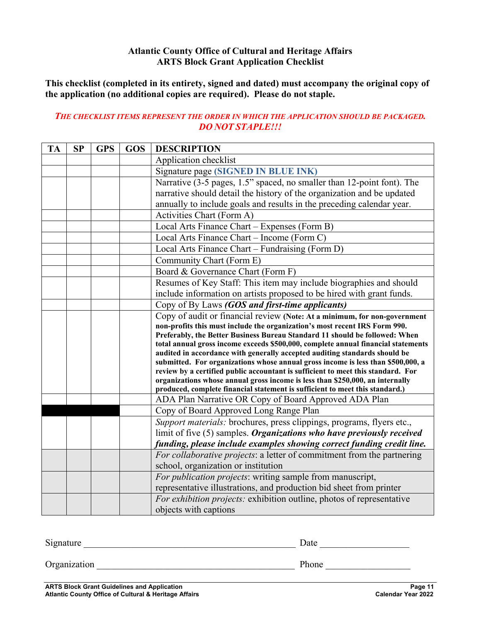#### **Atlantic County Office of Cultural and Heritage Affairs ARTS Block Grant Application Checklist**

**This checklist (completed in its entirety, signed and dated) must accompany the original copy of the application (no additional copies are required). Please do not staple.** 

#### *THE CHECKLIST ITEMS REPRESENT THE ORDER IN WHICH THE APPLICATION SHOULD BE PACKAGED. DO NOT STAPLE!!!*

| <b>TA</b> | SP | <b>GPS</b> | <b>GOS</b> | <b>DESCRIPTION</b>                                                                                                                                              |
|-----------|----|------------|------------|-----------------------------------------------------------------------------------------------------------------------------------------------------------------|
|           |    |            |            | Application checklist                                                                                                                                           |
|           |    |            |            | Signature page (SIGNED IN BLUE INK)                                                                                                                             |
|           |    |            |            | Narrative (3-5 pages, 1.5" spaced, no smaller than 12-point font). The                                                                                          |
|           |    |            |            | narrative should detail the history of the organization and be updated                                                                                          |
|           |    |            |            | annually to include goals and results in the preceding calendar year.                                                                                           |
|           |    |            |            | Activities Chart (Form A)                                                                                                                                       |
|           |    |            |            | Local Arts Finance Chart - Expenses (Form B)                                                                                                                    |
|           |    |            |            | Local Arts Finance Chart - Income (Form C)                                                                                                                      |
|           |    |            |            | Local Arts Finance Chart – Fundraising (Form D)                                                                                                                 |
|           |    |            |            | Community Chart (Form E)                                                                                                                                        |
|           |    |            |            | Board & Governance Chart (Form F)                                                                                                                               |
|           |    |            |            | Resumes of Key Staff: This item may include biographies and should                                                                                              |
|           |    |            |            | include information on artists proposed to be hired with grant funds.                                                                                           |
|           |    |            |            | Copy of By Laws (GOS and first-time applicants)                                                                                                                 |
|           |    |            |            | Copy of audit or financial review (Note: At a minimum, for non-government                                                                                       |
|           |    |            |            | non-profits this must include the organization's most recent IRS Form 990.                                                                                      |
|           |    |            |            | Preferably, the Better Business Bureau Standard 11 should be followed: When                                                                                     |
|           |    |            |            | total annual gross income exceeds \$500,000, complete annual financial statements<br>audited in accordance with generally accepted auditing standards should be |
|           |    |            |            | submitted. For organizations whose annual gross income is less than \$500,000, a                                                                                |
|           |    |            |            | review by a certified public accountant is sufficient to meet this standard. For                                                                                |
|           |    |            |            | organizations whose annual gross income is less than \$250,000, an internally                                                                                   |
|           |    |            |            | produced, complete financial statement is sufficient to meet this standard.)                                                                                    |
|           |    |            |            | ADA Plan Narrative OR Copy of Board Approved ADA Plan                                                                                                           |
|           |    |            |            | Copy of Board Approved Long Range Plan                                                                                                                          |
|           |    |            |            | Support materials: brochures, press clippings, programs, flyers etc.,                                                                                           |
|           |    |            |            | limit of five (5) samples. Organizations who have previously received                                                                                           |
|           |    |            |            | funding, please include examples showing correct funding credit line.                                                                                           |
|           |    |            |            | For collaborative projects: a letter of commitment from the partnering                                                                                          |
|           |    |            |            | school, organization or institution                                                                                                                             |
|           |    |            |            | For publication projects: writing sample from manuscript,                                                                                                       |
|           |    |            |            | representative illustrations, and production bid sheet from printer                                                                                             |
|           |    |            |            | For exhibition projects: exhibition outline, photos of representative                                                                                           |
|           |    |            |            | objects with captions                                                                                                                                           |

Signature \_\_\_\_\_\_\_\_\_\_\_\_\_\_\_\_\_\_\_\_\_\_\_\_\_\_\_\_\_\_\_\_\_\_\_\_\_\_\_\_\_\_\_\_\_ Date \_\_\_\_\_\_\_\_\_\_\_\_\_\_\_\_\_\_\_ Organization \_\_\_\_\_\_\_\_\_\_\_\_\_\_\_\_\_\_\_\_\_\_\_\_\_\_\_\_\_\_\_\_\_\_\_\_\_\_\_\_\_\_ Phone \_\_\_\_\_\_\_\_\_\_\_\_\_\_\_\_\_\_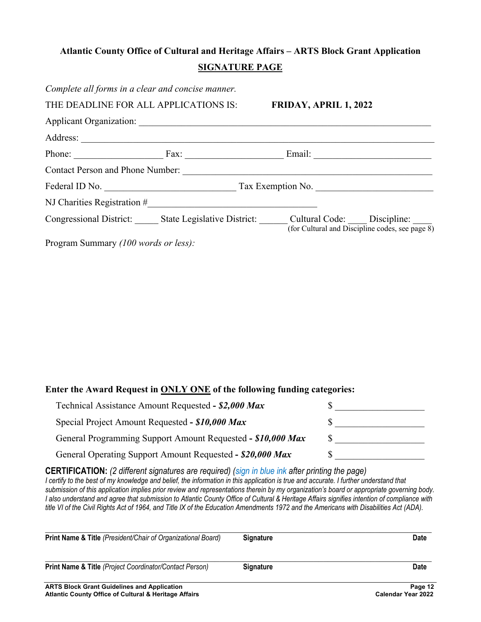## **Atlantic County Office of Cultural and Heritage Affairs – ARTS Block Grant Application SIGNATURE PAGE**

| Complete all forms in a clear and concise manner. |                                                                                                                                                                                  |                       |  |
|---------------------------------------------------|----------------------------------------------------------------------------------------------------------------------------------------------------------------------------------|-----------------------|--|
|                                                   | THE DEADLINE FOR ALL APPLICATIONS IS:                                                                                                                                            | FRIDAY, APRIL 1, 2022 |  |
|                                                   |                                                                                                                                                                                  |                       |  |
|                                                   |                                                                                                                                                                                  |                       |  |
|                                                   | Phone: Fax: Fax: Email: Email:                                                                                                                                                   |                       |  |
| <b>Contact Person and Phone Number:</b>           |                                                                                                                                                                                  |                       |  |
| Federal ID No.                                    |                                                                                                                                                                                  | Tax Exemption No.     |  |
| NJ Charities Registration #                       |                                                                                                                                                                                  |                       |  |
|                                                   | Congressional District: State Legislative District: Cultural Code: Discipline: Discipline: $\frac{\text{Cultural Code:}}{\text{(for Cultural and Discpline codes, see page 8)}}$ |                       |  |
| Program Summary (100 words or less):              |                                                                                                                                                                                  |                       |  |

#### **Enter the Award Request in ONLY ONE of the following funding categories:**

| Technical Assistance Amount Requested - \$2,000 Max         |  |
|-------------------------------------------------------------|--|
| Special Project Amount Requested - \$10,000 Max             |  |
| General Programming Support Amount Requested - \$10,000 Max |  |
| General Operating Support Amount Requested - \$20,000 Max   |  |

**CERTIFICATION:** *(2 different signatures are required) (sign in blue ink after printing the page)* 

*I certify to the best of my knowledge and belief, the information in this application is true and accurate. I further understand that submission of this application implies prior review and representations therein by my organization's board or appropriate governing body. I also understand and agree that submission to Atlantic County Office of Cultural & Heritage Affairs signifies intention of compliance with title VI of the Civil Rights Act of 1964, and Title IX of the Education Amendments 1972 and the Americans with Disabilities Act (ADA).* 

| <b>Print Name &amp; Title</b> ( <i>President/Chair of Organizational Board</i> )                                       | <b>Signature</b> | <b>Date</b>                          |
|------------------------------------------------------------------------------------------------------------------------|------------------|--------------------------------------|
| <b>Print Name &amp; Title (Project Coordinator/Contact Person)</b>                                                     | <b>Signature</b> | <b>Date</b>                          |
| <b>ARTS Block Grant Guidelines and Application</b><br><b>Atlantic County Office of Cultural &amp; Heritage Affairs</b> |                  | Page 12<br><b>Calendar Year 2022</b> |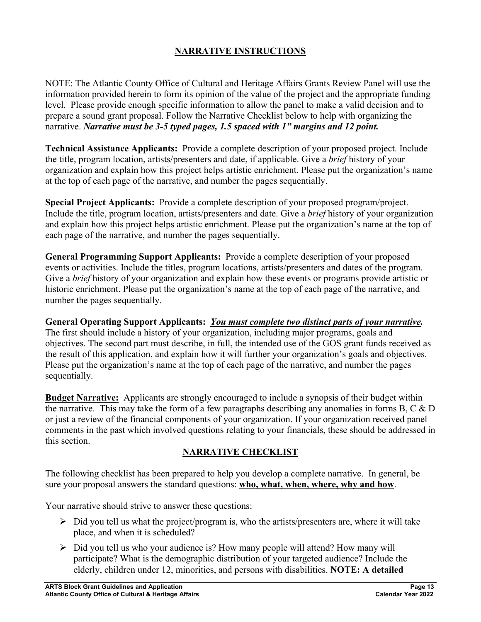#### **NARRATIVE INSTRUCTIONS**

NOTE: The Atlantic County Office of Cultural and Heritage Affairs Grants Review Panel will use the information provided herein to form its opinion of the value of the project and the appropriate funding level. Please provide enough specific information to allow the panel to make a valid decision and to prepare a sound grant proposal. Follow the Narrative Checklist below to help with organizing the narrative. *Narrative must be 3-5 typed pages, 1.5 spaced with 1" margins and 12 point.*

**Technical Assistance Applicants:** Provide a complete description of your proposed project. Include the title, program location, artists/presenters and date, if applicable. Give a *brief* history of your organization and explain how this project helps artistic enrichment. Please put the organization's name at the top of each page of the narrative, and number the pages sequentially.

**Special Project Applicants:** Provide a complete description of your proposed program/project. Include the title, program location, artists/presenters and date. Give a *brief* history of your organization and explain how this project helps artistic enrichment. Please put the organization's name at the top of each page of the narrative, and number the pages sequentially.

**General Programming Support Applicants:** Provide a complete description of your proposed events or activities. Include the titles, program locations, artists/presenters and dates of the program. Give a *brief* history of your organization and explain how these events or programs provide artistic or historic enrichment. Please put the organization's name at the top of each page of the narrative, and number the pages sequentially.

**General Operating Support Applicants:** *You must complete two distinct parts of your narrative.* The first should include a history of your organization, including major programs, goals and objectives. The second part must describe, in full, the intended use of the GOS grant funds received as the result of this application, and explain how it will further your organization's goals and objectives. Please put the organization's name at the top of each page of the narrative, and number the pages sequentially.

**Budget Narrative:** Applicants are strongly encouraged to include a synopsis of their budget within the narrative. This may take the form of a few paragraphs describing any anomalies in forms B, C  $\&$  D or just a review of the financial components of your organization. If your organization received panel comments in the past which involved questions relating to your financials, these should be addressed in this section.

#### **NARRATIVE CHECKLIST**

The following checklist has been prepared to help you develop a complete narrative. In general, be sure your proposal answers the standard questions: **who, what, when, where, why and how**.

Your narrative should strive to answer these questions:

- $\triangleright$  Did you tell us what the project/program is, who the artists/presenters are, where it will take place, and when it is scheduled?
- $\triangleright$  Did you tell us who your audience is? How many people will attend? How many will participate? What is the demographic distribution of your targeted audience? Include the elderly, children under 12, minorities, and persons with disabilities. **NOTE: A detailed**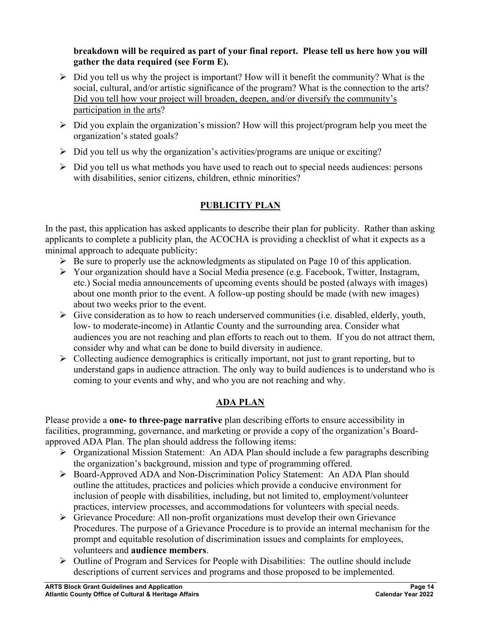**breakdown will be required as part of your final report. Please tell us here how you will gather the data required (see Form E).**

- $\triangleright$  Did you tell us why the project is important? How will it benefit the community? What is the social, cultural, and/or artistic significance of the program? What is the connection to the arts? Did you tell how your project will broaden, deepen, and/or diversify the community's participation in the arts?
- $\triangleright$  Did you explain the organization's mission? How will this project/program help you meet the organization's stated goals?
- $\triangleright$  Did you tell us why the organization's activities/programs are unique or exciting?
- $\triangleright$  Did you tell us what methods you have used to reach out to special needs audiences: persons with disabilities, senior citizens, children, ethnic minorities?

## **PUBLICITY PLAN**

In the past, this application has asked applicants to describe their plan for publicity. Rather than asking applicants to complete a publicity plan, the ACOCHA is providing a checklist of what it expects as a minimal approach to adequate publicity:

- $\triangleright$  Be sure to properly use the acknowledgments as stipulated on Page 10 of this application.
- Your organization should have a Social Media presence (e.g. Facebook, Twitter, Instagram, etc.) Social media announcements of upcoming events should be posted (always with images) about one month prior to the event. A follow-up posting should be made (with new images) about two weeks prior to the event.
- $\triangleright$  Give consideration as to how to reach underserved communities (i.e. disabled, elderly, youth, low- to moderate-income) in Atlantic County and the surrounding area. Consider what audiences you are not reaching and plan efforts to reach out to them. If you do not attract them, consider why and what can be done to build diversity in audience.
- $\triangleright$  Collecting audience demographics is critically important, not just to grant reporting, but to understand gaps in audience attraction. The only way to build audiences is to understand who is coming to your events and why, and who you are not reaching and why.

## **ADA PLAN**

Please provide a **one- to three-page narrative** plan describing efforts to ensure accessibility in facilities, programming, governance, and marketing or provide a copy of the organization's Boardapproved ADA Plan. The plan should address the following items:

- $\triangleright$  Organizational Mission Statement: An ADA Plan should include a few paragraphs describing the organization's background, mission and type of programming offered.
- Board-Approved ADA and Non-Discrimination Policy Statement: An ADA Plan should outline the attitudes, practices and policies which provide a conducive environment for inclusion of people with disabilities, including, but not limited to, employment/volunteer practices, interview processes, and accommodations for volunteers with special needs.
- Grievance Procedure: All non-profit organizations must develop their own Grievance Procedures. The purpose of a Grievance Procedure is to provide an internal mechanism for the prompt and equitable resolution of discrimination issues and complaints for employees, volunteers and **audience members**.
- $\triangleright$  Outline of Program and Services for People with Disabilities: The outline should include descriptions of current services and programs and those proposed to be implemented.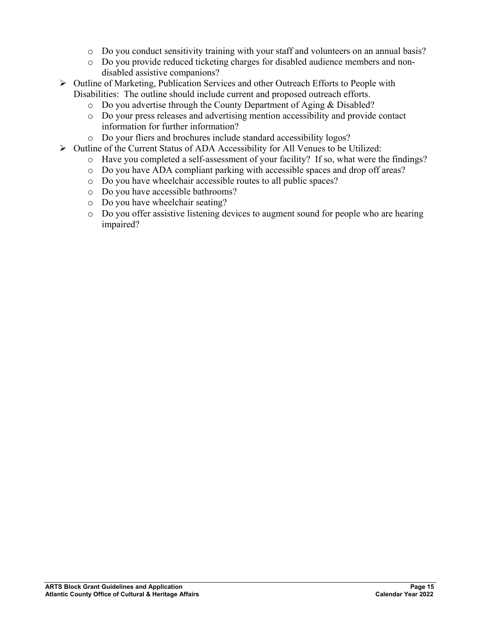- o Do you conduct sensitivity training with your staff and volunteers on an annual basis?
- o Do you provide reduced ticketing charges for disabled audience members and nondisabled assistive companions?
- $\triangleright$  Outline of Marketing, Publication Services and other Outreach Efforts to People with Disabilities: The outline should include current and proposed outreach efforts.
	- o Do you advertise through the County Department of Aging & Disabled?
	- o Do your press releases and advertising mention accessibility and provide contact information for further information?
	- o Do your fliers and brochures include standard accessibility logos?
- $\triangleright$  Outline of the Current Status of ADA Accessibility for All Venues to be Utilized:
	- o Have you completed a self-assessment of your facility? If so, what were the findings?
	- o Do you have ADA compliant parking with accessible spaces and drop off areas?
	- o Do you have wheelchair accessible routes to all public spaces?
	- o Do you have accessible bathrooms?
	- o Do you have wheelchair seating?
	- o Do you offer assistive listening devices to augment sound for people who are hearing impaired?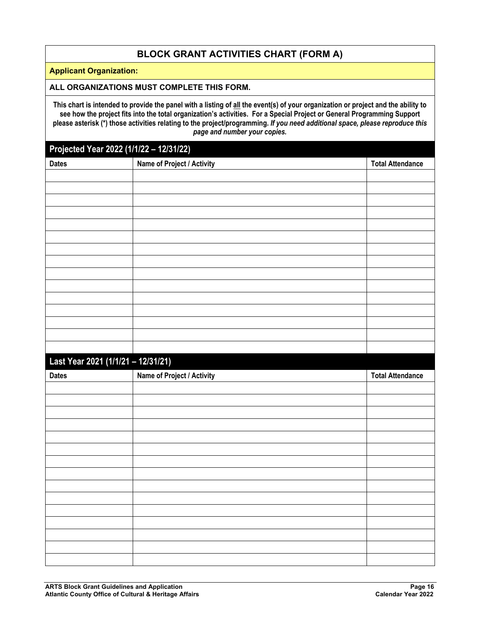#### **BLOCK GRANT ACTIVITIES CHART (FORM A)**

**Applicant Organization:** 

#### **ALL ORGANIZATIONS MUST COMPLETE THIS FORM.**

**This chart is intended to provide the panel with a listing of all the event(s) of your organization or project and the ability to see how the project fits into the total organization's activities. For a Special Project or General Programming Support please asterisk (\*) those activities relating to the project/programming.** *If you need additional space, please reproduce this page and number your copies.*

| Projected Year 2022 (1/1/22 - 12/31/22) |                            |                         |
|-----------------------------------------|----------------------------|-------------------------|
| <b>Dates</b>                            | Name of Project / Activity | <b>Total Attendance</b> |
|                                         |                            |                         |
|                                         |                            |                         |
|                                         |                            |                         |
|                                         |                            |                         |
|                                         |                            |                         |
|                                         |                            |                         |
|                                         |                            |                         |
|                                         |                            |                         |
|                                         |                            |                         |
|                                         |                            |                         |
|                                         |                            |                         |
|                                         |                            |                         |
|                                         |                            |                         |
|                                         |                            |                         |
|                                         |                            |                         |
|                                         |                            |                         |
| Last Year 2021 (1/1/21 - 12/31/21)      |                            |                         |
| <b>Dates</b>                            | Name of Project / Activity | <b>Total Attendance</b> |
|                                         |                            |                         |
|                                         |                            |                         |
|                                         |                            |                         |
|                                         |                            |                         |
|                                         |                            |                         |
|                                         |                            |                         |
|                                         |                            |                         |
|                                         |                            |                         |
|                                         |                            |                         |
|                                         |                            |                         |
|                                         |                            |                         |
|                                         |                            |                         |
|                                         |                            |                         |
|                                         |                            |                         |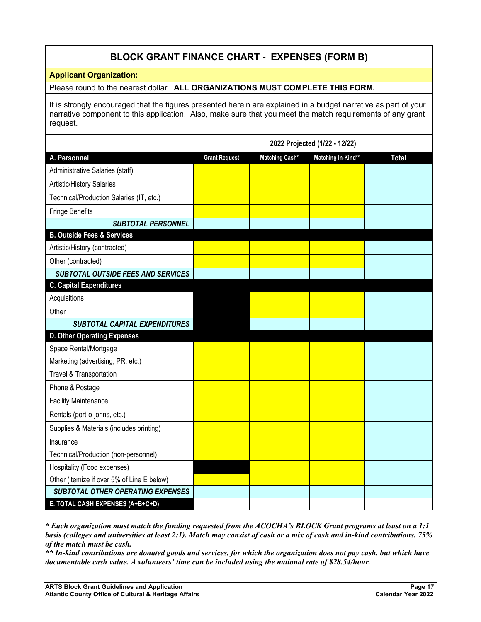#### **BLOCK GRANT FINANCE CHART - EXPENSES (FORM B)**

#### **Applicant Organization:**

#### Please round to the nearest dollar. **ALL ORGANIZATIONS MUST COMPLETE THIS FORM.**

It is strongly encouraged that the figures presented herein are explained in a budget narrative as part of your narrative component to this application. Also, make sure that you meet the match requirements of any grant request.

|                                            | 2022 Projected (1/22 - 12/22) |                |                    |              |  |  |  |
|--------------------------------------------|-------------------------------|----------------|--------------------|--------------|--|--|--|
| A. Personnel                               | <b>Grant Request</b>          | Matching Cash* | Matching In-Kind** | <b>Total</b> |  |  |  |
| Administrative Salaries (staff)            |                               |                |                    |              |  |  |  |
| Artistic/History Salaries                  |                               |                |                    |              |  |  |  |
| Technical/Production Salaries (IT, etc.)   |                               |                |                    |              |  |  |  |
| <b>Fringe Benefits</b>                     |                               |                |                    |              |  |  |  |
| <b>SUBTOTAL PERSONNEL</b>                  |                               |                |                    |              |  |  |  |
| <b>B. Outside Fees &amp; Services</b>      |                               |                |                    |              |  |  |  |
| Artistic/History (contracted)              |                               |                |                    |              |  |  |  |
| Other (contracted)                         |                               |                |                    |              |  |  |  |
| <b>SUBTOTAL OUTSIDE FEES AND SERVICES</b>  |                               |                |                    |              |  |  |  |
| <b>C. Capital Expenditures</b>             |                               |                |                    |              |  |  |  |
| Acquisitions                               |                               |                |                    |              |  |  |  |
| Other                                      |                               |                |                    |              |  |  |  |
| <b>SUBTOTAL CAPITAL EXPENDITURES</b>       |                               |                |                    |              |  |  |  |
| <b>D. Other Operating Expenses</b>         |                               |                |                    |              |  |  |  |
| Space Rental/Mortgage                      |                               |                |                    |              |  |  |  |
| Marketing (advertising, PR, etc.)          |                               |                |                    |              |  |  |  |
| Travel & Transportation                    |                               |                |                    |              |  |  |  |
| Phone & Postage                            |                               |                |                    |              |  |  |  |
| <b>Facility Maintenance</b>                |                               |                |                    |              |  |  |  |
| Rentals (port-o-johns, etc.)               |                               |                |                    |              |  |  |  |
| Supplies & Materials (includes printing)   |                               |                |                    |              |  |  |  |
| Insurance                                  |                               |                |                    |              |  |  |  |
| Technical/Production (non-personnel)       |                               |                |                    |              |  |  |  |
| Hospitality (Food expenses)                |                               |                |                    |              |  |  |  |
| Other (itemize if over 5% of Line E below) |                               |                |                    |              |  |  |  |
| <b>SUBTOTAL OTHER OPERATING EXPENSES</b>   |                               |                |                    |              |  |  |  |
| E. TOTAL CASH EXPENSES (A+B+C+D)           |                               |                |                    |              |  |  |  |

*\* Each organization must match the funding requested from the ACOCHA's BLOCK Grant programs at least on a 1:1 basis (colleges and universities at least 2:1). Match may consist of cash or a mix of cash and in-kind contributions. 75% of the match must be cash.* 

*\*\* In-kind contributions are donated goods and services, for which the organization does not pay cash, but which have documentable cash value. A volunteers' time can be included using the national rate of \$28.54/hour.*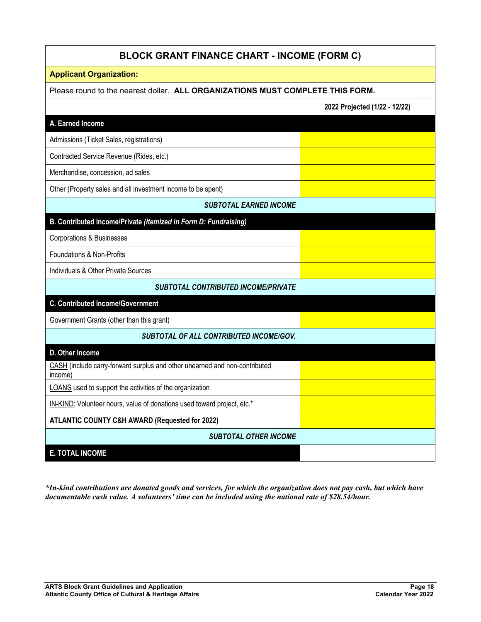| <b>BLOCK GRANT FINANCE CHART - INCOME (FORM C)</b>                                   |                               |  |  |  |  |
|--------------------------------------------------------------------------------------|-------------------------------|--|--|--|--|
| <b>Applicant Organization:</b>                                                       |                               |  |  |  |  |
| Please round to the nearest dollar. ALL ORGANIZATIONS MUST COMPLETE THIS FORM.       |                               |  |  |  |  |
|                                                                                      | 2022 Projected (1/22 - 12/22) |  |  |  |  |
| A. Earned Income                                                                     |                               |  |  |  |  |
| Admissions (Ticket Sales, registrations)                                             |                               |  |  |  |  |
| Contracted Service Revenue (Rides, etc.)                                             |                               |  |  |  |  |
| Merchandise, concession, ad sales                                                    |                               |  |  |  |  |
| Other (Property sales and all investment income to be spent)                         |                               |  |  |  |  |
| <b>SUBTOTAL EARNED INCOME</b>                                                        |                               |  |  |  |  |
| B. Contributed Income/Private (Itemized in Form D: Fundraising)                      |                               |  |  |  |  |
| <b>Corporations &amp; Businesses</b>                                                 |                               |  |  |  |  |
| Foundations & Non-Profits                                                            |                               |  |  |  |  |
| Individuals & Other Private Sources                                                  |                               |  |  |  |  |
| <b>SUBTOTAL CONTRIBUTED INCOME/PRIVATE</b>                                           |                               |  |  |  |  |
| <b>C. Contributed Income/Government</b>                                              |                               |  |  |  |  |
| Government Grants (other than this grant)                                            |                               |  |  |  |  |
| <b>SUBTOTAL OF ALL CONTRIBUTED INCOME/GOV.</b>                                       |                               |  |  |  |  |
| D. Other Income                                                                      |                               |  |  |  |  |
| CASH (include carry-forward surplus and other unearned and non-contributed<br>income |                               |  |  |  |  |
| LOANS used to support the activities of the organization                             |                               |  |  |  |  |
| IN-KIND: Volunteer hours, value of donations used toward project, etc.*              |                               |  |  |  |  |
| ATLANTIC COUNTY C&H AWARD (Requested for 2022)                                       |                               |  |  |  |  |
| <b>SUBTOTAL OTHER INCOME</b>                                                         |                               |  |  |  |  |
| <b>E. TOTAL INCOME</b>                                                               |                               |  |  |  |  |

*\*In-kind contributions are donated goods and services, for which the organization does not pay cash, but which have documentable cash value. A volunteers' time can be included using the national rate of \$28.54/hour.*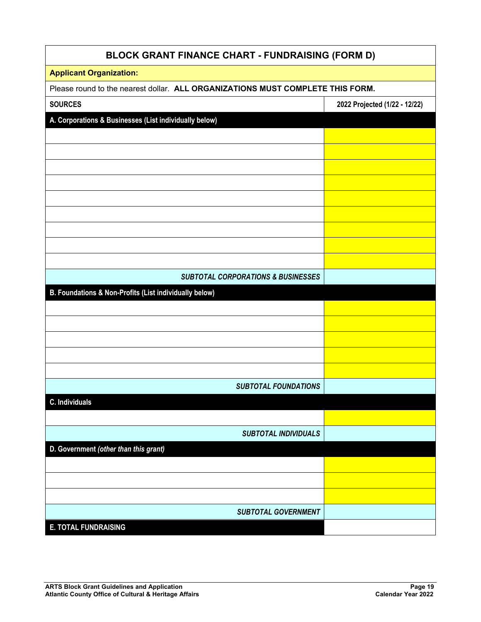| <b>BLOCK GRANT FINANCE CHART - FUNDRAISING (FORM D)</b>                        |                               |  |  |  |
|--------------------------------------------------------------------------------|-------------------------------|--|--|--|
| <b>Applicant Organization:</b>                                                 |                               |  |  |  |
| Please round to the nearest dollar. ALL ORGANIZATIONS MUST COMPLETE THIS FORM. |                               |  |  |  |
| <b>SOURCES</b>                                                                 | 2022 Projected (1/22 - 12/22) |  |  |  |
| A. Corporations & Businesses (List individually below)                         |                               |  |  |  |
|                                                                                |                               |  |  |  |
|                                                                                |                               |  |  |  |
|                                                                                |                               |  |  |  |
|                                                                                |                               |  |  |  |
|                                                                                |                               |  |  |  |
|                                                                                |                               |  |  |  |
|                                                                                |                               |  |  |  |
|                                                                                |                               |  |  |  |
|                                                                                |                               |  |  |  |
| <b>SUBTOTAL CORPORATIONS &amp; BUSINESSES</b>                                  |                               |  |  |  |
| B. Foundations & Non-Profits (List individually below)                         |                               |  |  |  |
|                                                                                |                               |  |  |  |
|                                                                                |                               |  |  |  |
|                                                                                |                               |  |  |  |
|                                                                                |                               |  |  |  |
|                                                                                |                               |  |  |  |
| <b>SUBTOTAL FOUNDATIONS</b>                                                    |                               |  |  |  |
| C. Individuals                                                                 |                               |  |  |  |
|                                                                                |                               |  |  |  |
| <b>SUBTOTAL INDIVIDUALS</b>                                                    |                               |  |  |  |
| D. Government (other than this grant)                                          |                               |  |  |  |
|                                                                                |                               |  |  |  |
|                                                                                |                               |  |  |  |
|                                                                                |                               |  |  |  |
| <b>SUBTOTAL GOVERNMENT</b>                                                     |                               |  |  |  |
| <b>E. TOTAL FUNDRAISING</b>                                                    |                               |  |  |  |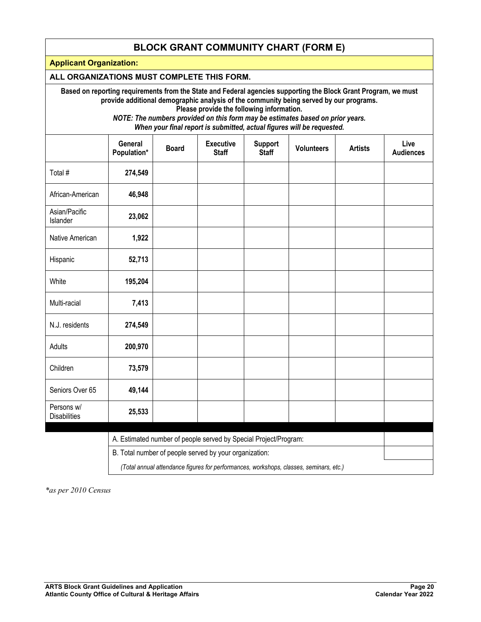#### **BLOCK GRANT COMMUNITY CHART (FORM E)**

**Applicant Organization:** 

#### **ALL ORGANIZATIONS MUST COMPLETE THIS FORM.**

**Based on reporting requirements from the State and Federal agencies supporting the Block Grant Program, we must provide additional demographic analysis of the community being served by our programs.** 

**Please provide the following information.** 

*NOTE: The numbers provided on this form may be estimates based on prior years. When your final report is submitted, actual figures will be requested.*

|                                   | General<br>Population*                                                                 | <b>Board</b> | <b>Executive</b><br><b>Staff</b> | <b>Support</b><br><b>Staff</b> | <b>Volunteers</b> | <b>Artists</b> | Live<br><b>Audiences</b> |
|-----------------------------------|----------------------------------------------------------------------------------------|--------------|----------------------------------|--------------------------------|-------------------|----------------|--------------------------|
| Total #                           | 274,549                                                                                |              |                                  |                                |                   |                |                          |
| African-American                  | 46,948                                                                                 |              |                                  |                                |                   |                |                          |
| Asian/Pacific<br>Islander         | 23,062                                                                                 |              |                                  |                                |                   |                |                          |
| Native American                   | 1,922                                                                                  |              |                                  |                                |                   |                |                          |
| Hispanic                          | 52,713                                                                                 |              |                                  |                                |                   |                |                          |
| White                             | 195,204                                                                                |              |                                  |                                |                   |                |                          |
| Multi-racial                      | 7,413                                                                                  |              |                                  |                                |                   |                |                          |
| N.J. residents                    | 274,549                                                                                |              |                                  |                                |                   |                |                          |
| Adults                            | 200,970                                                                                |              |                                  |                                |                   |                |                          |
| Children                          | 73,579                                                                                 |              |                                  |                                |                   |                |                          |
| Seniors Over 65                   | 49,144                                                                                 |              |                                  |                                |                   |                |                          |
| Persons w/<br><b>Disabilities</b> | 25,533                                                                                 |              |                                  |                                |                   |                |                          |
|                                   | A. Estimated number of people served by Special Project/Program:                       |              |                                  |                                |                   |                |                          |
|                                   | B. Total number of people served by your organization:                                 |              |                                  |                                |                   |                |                          |
|                                   | (Total annual attendance figures for performances, workshops, classes, seminars, etc.) |              |                                  |                                |                   |                |                          |

*\*as per 2010 Census*